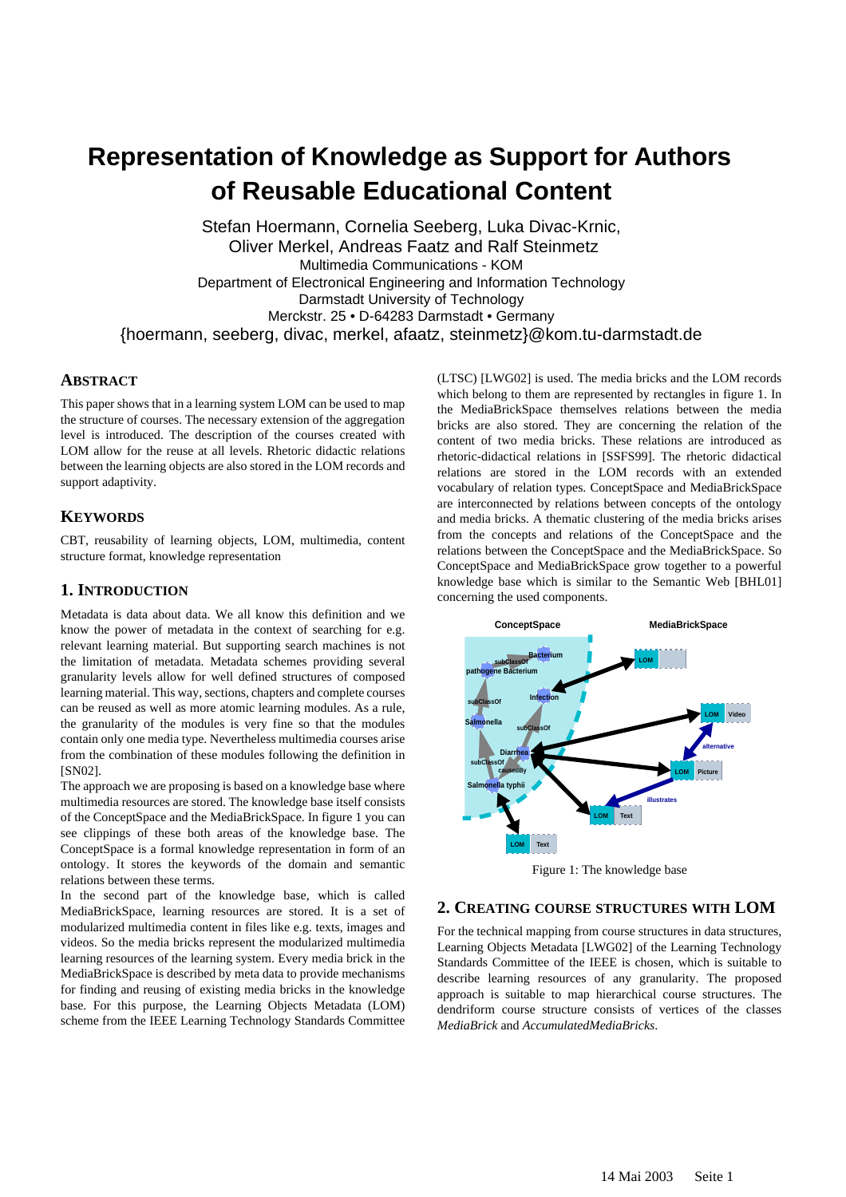# **Representation of Knowledge as Support for Authors of Reusable Educational Content**

Stefan Hoermann, Cornelia Seeberg, Luka Divac-Krnic, Oliver Merkel, Andreas Faatz and Ralf Steinmetz Multimedia Communications - KOM Department of Electronical Engineering and Information Technology Darmstadt University of Technology Merckstr. 25 • D-64283 Darmstadt • Germany {hoermann, seeberg, divac, merkel, afaatz, steinmetz}@kom.tu-darmstadt.de

## **ABSTRACT**

This paper shows that in a learning system LOM can be used to map the structure of courses. The necessary extension of the aggregation level is introduced. The description of the courses created with LOM allow for the reuse at all levels. Rhetoric didactic relations between the learning objects are also stored in the LOM records and support adaptivity.

# **KEYWORDS**

CBT, reusability of learning objects, LOM, multimedia, content structure format, knowledge representation

## **1. INTRODUCTION**

Metadata is data about data. We all know this definition and we know the power of metadata in the context of searching for e.g. relevant learning material. But supporting search machines is not the limitation of metadata. Metadata schemes providing several granularity levels allow for well defined structures of composed learning material. This way, sections, chapters and complete courses can be reused as well as more atomic learning modules. As a rule, the granularity of the modules is very fine so that the modules contain only one media type. Nevertheless multimedia courses arise from the combination of these modules following the definition in [SN02].

The approach we are proposing is based on a knowledge base where multimedia resources are stored. The knowledge base itself consists of the ConceptSpace and the MediaBrickSpace. In figure 1 you can see clippings of these both areas of the knowledge base. The ConceptSpace is a formal knowledge representation in form of an ontology. It stores the keywords of the domain and semantic relations between these terms.

In the second part of the knowledge base, which is called MediaBrickSpace, learning resources are stored. It is a set of modularized multimedia content in files like e.g. texts, images and videos. So the media bricks represent the modularized multimedia learning resources of the learning system. Every media brick in the MediaBrickSpace is described by meta data to provide mechanisms for finding and reusing of existing media bricks in the knowledge base. For this purpose, the Learning Objects Metadata (LOM) scheme from the IEEE Learning Technology Standards Committee

(LTSC) [LWG02] is used. The media bricks and the LOM records which belong to them are represented by rectangles in figure 1. In the MediaBrickSpace themselves relations between the media bricks are also stored. They are concerning the relation of the content of two media bricks. These relations are introduced as rhetoric-didactical relations in [SSFS99]. The rhetoric didactical relations are stored in the LOM records with an extended vocabulary of relation types. ConceptSpace and MediaBrickSpace are interconnected by relations between concepts of the ontology and media bricks. A thematic clustering of the media bricks arises from the concepts and relations of the ConceptSpace and the relations between the ConceptSpace and the MediaBrickSpace. So ConceptSpace and MediaBrickSpace grow together to a powerful knowledge base which is similar to the Semantic Web [BHL01] concerning the used components.



Figure 1: The knowledge base

#### **2. CREATING COURSE STRUCTURES WITH LOM**

For the technical mapping from course structures in data structures, Learning Objects Metadata [LWG02] of the Learning Technology Standards Committee of the IEEE is chosen, which is suitable to describe learning resources of any granularity. The proposed approach is suitable to map hierarchical course structures. The dendriform course structure consists of vertices of the classes *MediaBrick* and *AccumulatedMediaBricks*.